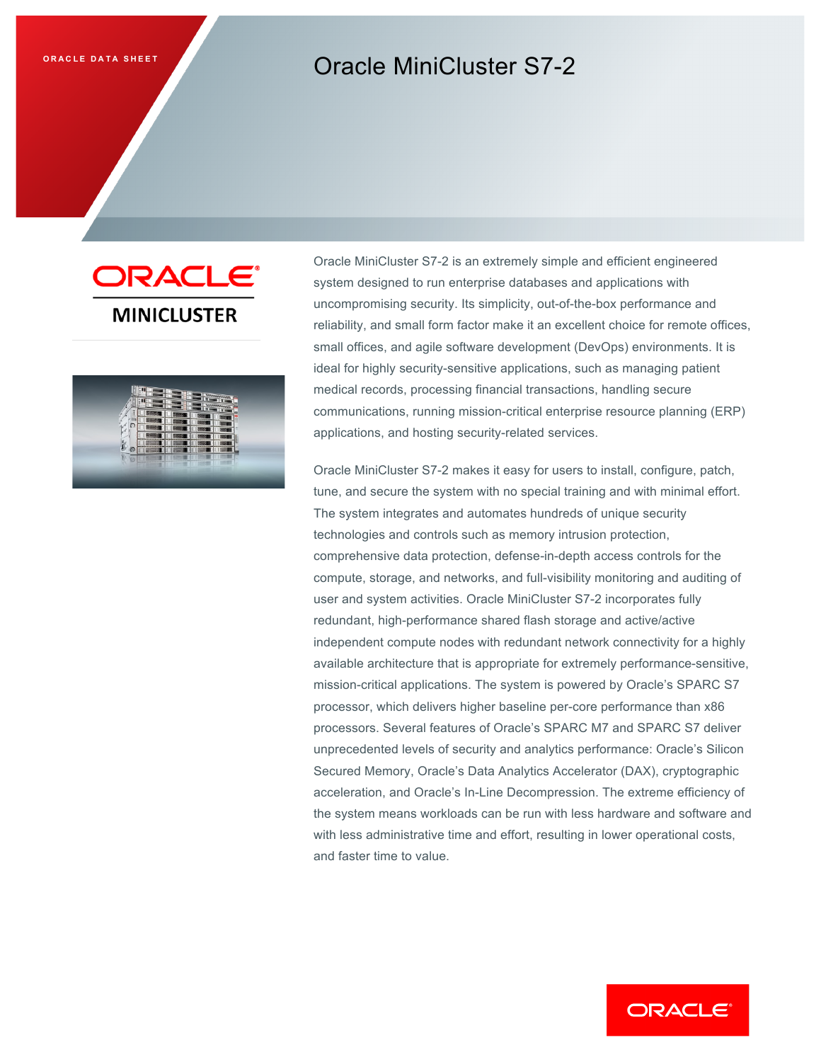# **ORACLE DATA SHEET CORPORAGING CORPORAGING MINICIUSTER S7-2**





Oracle MiniCluster S7-2 is an extremely simple and efficient engineered system designed to run enterprise databases and applications with uncompromising security. Its simplicity, out-of-the-box performance and reliability, and small form factor make it an excellent choice for remote offices, small offices, and agile software development (DevOps) environments. It is ideal for highly security-sensitive applications, such as managing patient medical records, processing financial transactions, handling secure communications, running mission-critical enterprise resource planning (ERP) applications, and hosting security-related services.

Oracle MiniCluster S7-2 makes it easy for users to install, configure, patch, tune, and secure the system with no special training and with minimal effort. The system integrates and automates hundreds of unique security technologies and controls such as memory intrusion protection, comprehensive data protection, defense-in-depth access controls for the compute, storage, and networks, and full-visibility monitoring and auditing of user and system activities. Oracle MiniCluster S7-2 incorporates fully redundant, high-performance shared flash storage and active/active independent compute nodes with redundant network connectivity for a highly available architecture that is appropriate for extremely performance-sensitive, mission-critical applications. The system is powered by Oracle's SPARC S7 processor, which delivers higher baseline per-core performance than x86 processors. Several features of Oracle's SPARC M7 and SPARC S7 deliver unprecedented levels of security and analytics performance: Oracle's Silicon Secured Memory, Oracle's Data Analytics Accelerator (DAX), cryptographic acceleration, and Oracle's In-Line Decompression. The extreme efficiency of the system means workloads can be run with less hardware and software and with less administrative time and effort, resulting in lower operational costs, and faster time to value.

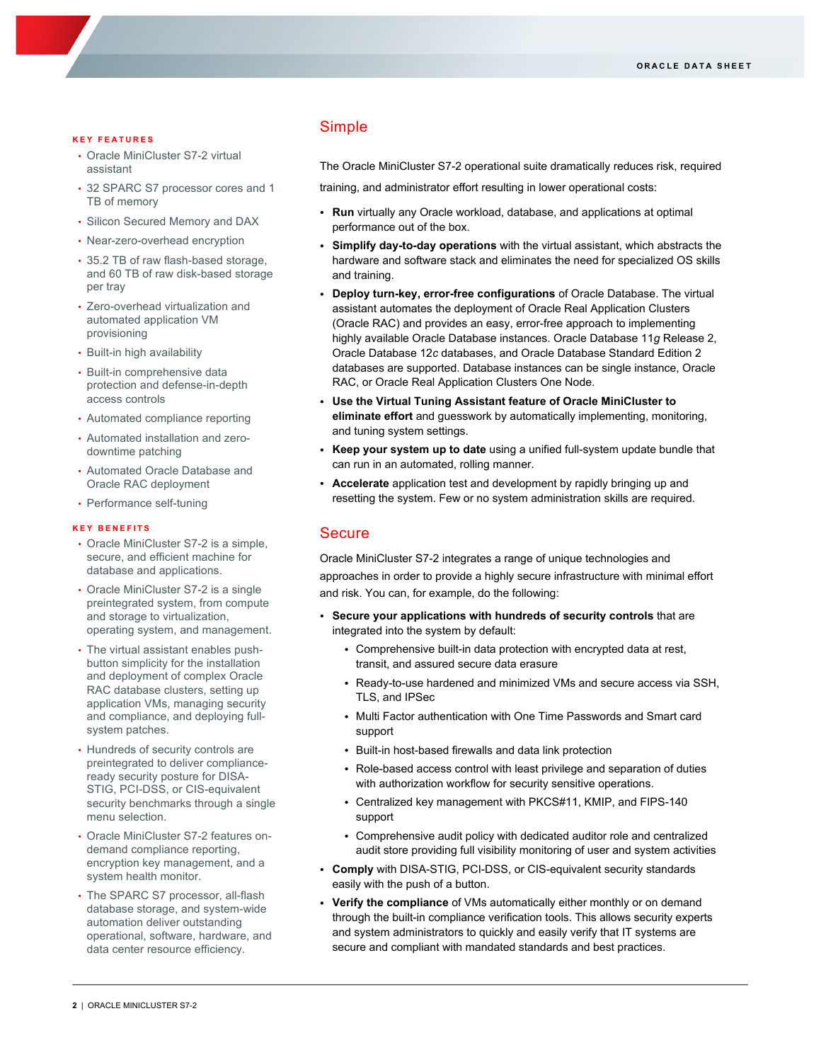#### **KEY FEATURES**

- Oracle MiniCluster S7-2 virtual assistant
- 32 SPARC S7 processor cores and 1 TB of memory
- Silicon Secured Memory and DAX
- Near-zero-overhead encryption
- 35.2 TB of raw flash-based storage, and 60 TB of raw disk-based storage per tray
- Zero-overhead virtualization and automated application VM provisioning
- Built-in high availability
- Built-in comprehensive data protection and defense-in-depth access controls
- Automated compliance reporting
- Automated installation and zerodowntime patching
- Automated Oracle Database and Oracle RAC deployment
- Performance self-tuning

#### **KEY BENEFITS**

- Oracle MiniCluster S7-2 is a simple, secure, and efficient machine for database and applications.
- Oracle MiniCluster S7-2 is a single preintegrated system, from compute and storage to virtualization, operating system, and management.
- The virtual assistant enables pushbutton simplicity for the installation and deployment of complex Oracle RAC database clusters, setting up application VMs, managing security and compliance, and deploying fullsystem patches.
- Hundreds of security controls are preintegrated to deliver complianceready security posture for DISA-STIG, PCI-DSS, or CIS-equivalent security benchmarks through a single menu selection.
- Oracle MiniCluster S7-2 features ondemand compliance reporting, encryption key management, and a system health monitor.
- The SPARC S7 processor, all-flash database storage, and system-wide automation deliver outstanding operational, software, hardware, and data center resource efficiency.

# Simple

The Oracle MiniCluster S7-2 operational suite dramatically reduces risk, required

training, and administrator effort resulting in lower operational costs:

- **Run** virtually any Oracle workload, database, and applications at optimal performance out of the box.
- **Simplify day-to-day operations** with the virtual assistant, which abstracts the hardware and software stack and eliminates the need for specialized OS skills and training.
- **Deploy turn-key, error-free configurations** of Oracle Database. The virtual assistant automates the deployment of Oracle Real Application Clusters (Oracle RAC) and provides an easy, error-free approach to implementing highly available Oracle Database instances. Oracle Database 11*g* Release 2, Oracle Database 12*c* databases, and Oracle Database Standard Edition 2 databases are supported. Database instances can be single instance, Oracle RAC, or Oracle Real Application Clusters One Node.
- **Use the Virtual Tuning Assistant feature of Oracle MiniCluster to eliminate effort** and guesswork by automatically implementing, monitoring, and tuning system settings.
- **Keep your system up to date** using a unified full-system update bundle that can run in an automated, rolling manner.
- **Accelerate** application test and development by rapidly bringing up and resetting the system. Few or no system administration skills are required.

## **Secure**

Oracle MiniCluster S7-2 integrates a range of unique technologies and approaches in order to provide a highly secure infrastructure with minimal effort and risk. You can, for example, do the following:

- **Secure your applications with hundreds of security controls** that are integrated into the system by default:
	- Comprehensive built-in data protection with encrypted data at rest, transit, and assured secure data erasure
	- Ready-to-use hardened and minimized VMs and secure access via SSH, TLS, and IPSec
	- Multi Factor authentication with One Time Passwords and Smart card support
	- Built-in host-based firewalls and data link protection
	- Role-based access control with least privilege and separation of duties with authorization workflow for security sensitive operations.
	- Centralized key management with PKCS#11, KMIP, and FIPS-140 support
	- Comprehensive audit policy with dedicated auditor role and centralized audit store providing full visibility monitoring of user and system activities
- **Comply** with DISA-STIG, PCI-DSS, or CIS-equivalent security standards easily with the push of a button.
- **Verify the compliance** of VMs automatically either monthly or on demand through the built-in compliance verification tools. This allows security experts and system administrators to quickly and easily verify that IT systems are secure and compliant with mandated standards and best practices.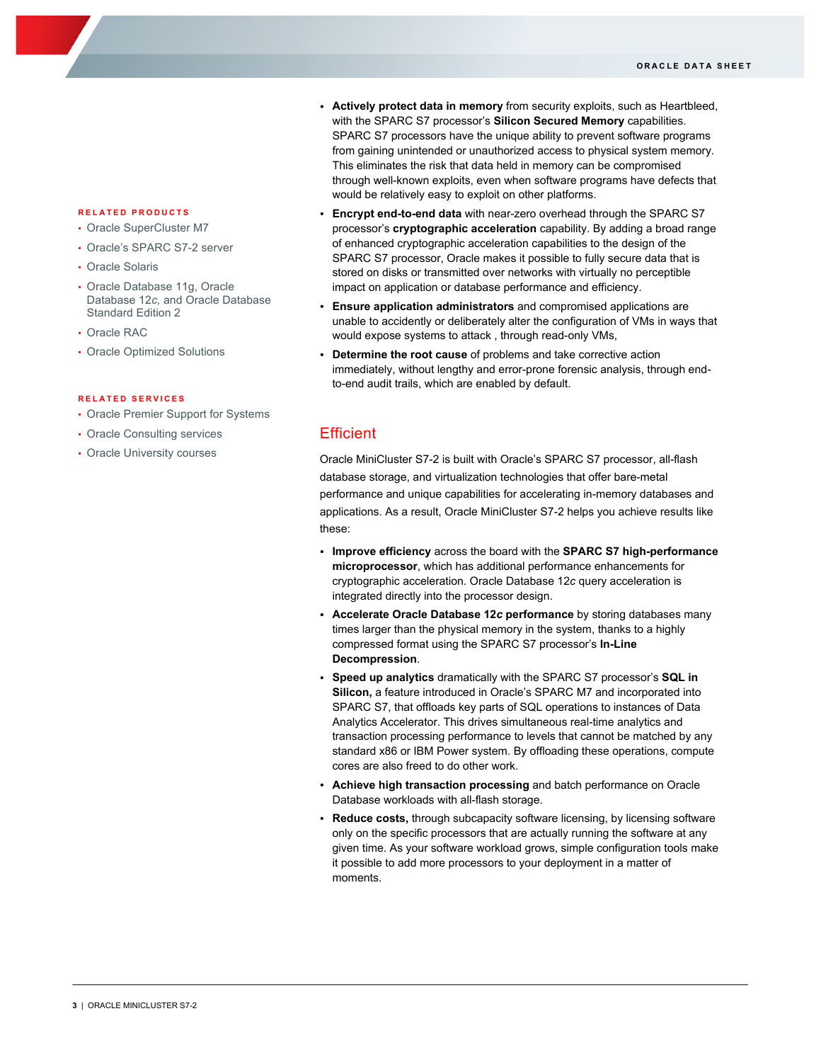- **RELATED PRODUCTS**
- Oracle SuperCluster M7
- Oracle's SPARC S7-2 server
- Oracle Solaris
- Oracle Database 11g, Oracle Database 12*c,* and Oracle Database Standard Edition 2
- Oracle RAC
- Oracle Optimized Solutions

#### **RELATED SERVICES**

- Oracle Premier Support for Systems
- Oracle Consulting services
- Oracle University courses
- **Actively protect data in memory** from security exploits, such as Heartbleed, with the SPARC S7 processor's **Silicon Secured Memory** capabilities. SPARC S7 processors have the unique ability to prevent software programs from gaining unintended or unauthorized access to physical system memory. This eliminates the risk that data held in memory can be compromised through well-known exploits, even when software programs have defects that would be relatively easy to exploit on other platforms.
- **Encrypt end-to-end data** with near-zero overhead through the SPARC S7 processor's **cryptographic acceleration** capability. By adding a broad range of enhanced cryptographic acceleration capabilities to the design of the SPARC S7 processor, Oracle makes it possible to fully secure data that is stored on disks or transmitted over networks with virtually no perceptible impact on application or database performance and efficiency.
- **Ensure application administrators** and compromised applications are unable to accidently or deliberately alter the configuration of VMs in ways that would expose systems to attack , through read-only VMs,
- **Determine the root cause** of problems and take corrective action immediately, without lengthy and error-prone forensic analysis, through endto-end audit trails, which are enabled by default.

## **Efficient**

Oracle MiniCluster S7-2 is built with Oracle's SPARC S7 processor, all-flash database storage, and virtualization technologies that offer bare-metal performance and unique capabilities for accelerating in-memory databases and applications. As a result, Oracle MiniCluster S7-2 helps you achieve results like these:

- **Improve efficiency** across the board with the **SPARC S7 high-performance microprocessor**, which has additional performance enhancements for cryptographic acceleration. Oracle Database 12*c* query acceleration is integrated directly into the processor design.
- **Accelerate Oracle Database 12***c* **performance** by storing databases many times larger than the physical memory in the system, thanks to a highly compressed format using the SPARC S7 processor's **In-Line Decompression**.
- **Speed up analytics** dramatically with the SPARC S7 processor's **SQL in Silicon,** a feature introduced in Oracle's SPARC M7 and incorporated into SPARC S7, that offloads key parts of SQL operations to instances of Data Analytics Accelerator. This drives simultaneous real-time analytics and transaction processing performance to levels that cannot be matched by any standard x86 or IBM Power system. By offloading these operations, compute cores are also freed to do other work.
- **Achieve high transaction processing** and batch performance on Oracle Database workloads with all-flash storage.
- **Reduce costs,** through subcapacity software licensing, by licensing software only on the specific processors that are actually running the software at any given time. As your software workload grows, simple configuration tools make it possible to add more processors to your deployment in a matter of moments.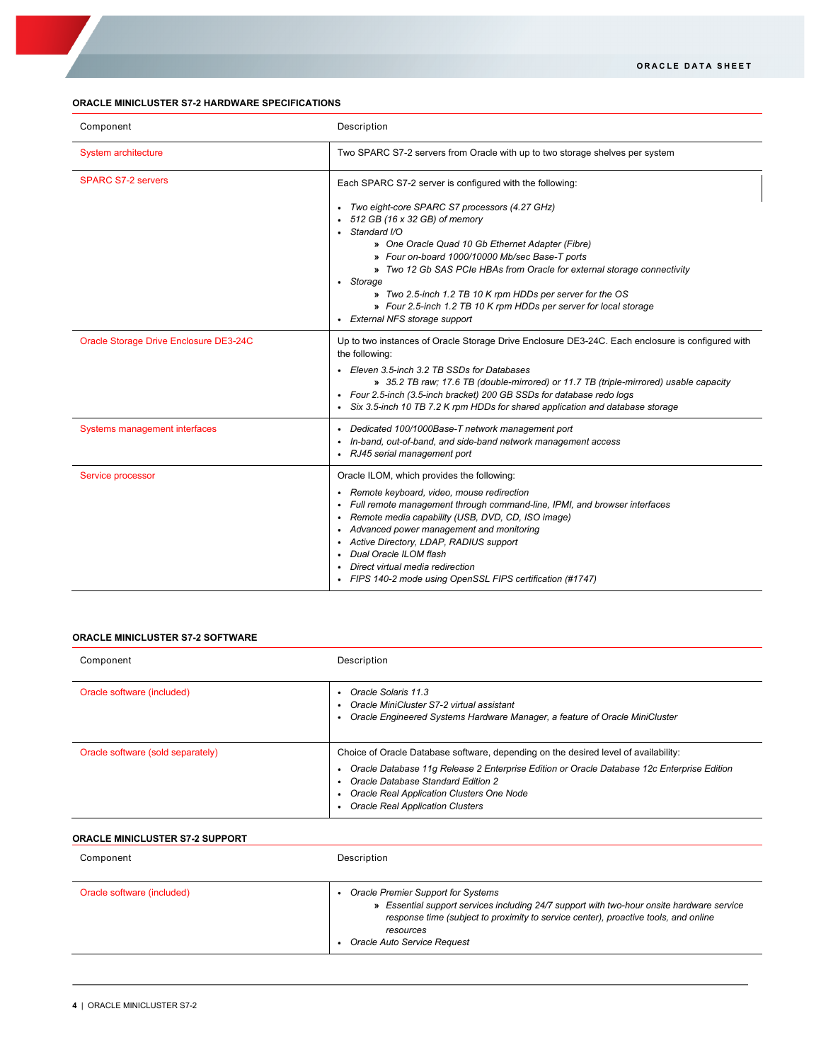## **ORACLE MINICLUSTER S7-2 HARDWARE SPECIFICATIONS**

| Component                              | Description                                                                                                                                                                                                                                                                                                                                                                                                                                                                                                                  |  |
|----------------------------------------|------------------------------------------------------------------------------------------------------------------------------------------------------------------------------------------------------------------------------------------------------------------------------------------------------------------------------------------------------------------------------------------------------------------------------------------------------------------------------------------------------------------------------|--|
| <b>System architecture</b>             | Two SPARC S7-2 servers from Oracle with up to two storage shelves per system                                                                                                                                                                                                                                                                                                                                                                                                                                                 |  |
| <b>SPARC S7-2 servers</b>              | Each SPARC S7-2 server is configured with the following:<br>Two eight-core SPARC S7 processors (4.27 GHz)<br>512 GB (16 x 32 GB) of memory<br>Standard I/O<br>» One Oracle Quad 10 Gb Ethernet Adapter (Fibre)<br>» Four on-board 1000/10000 Mb/sec Base-T ports<br>» Two 12 Gb SAS PCIe HBAs from Oracle for external storage connectivity<br>• Storage<br>» Two 2.5-inch 1.2 TB 10 K rpm HDDs per server for the OS<br>» Four 2.5-inch 1.2 TB 10 K rpm HDDs per server for local storage<br>• External NFS storage support |  |
| Oracle Storage Drive Enclosure DE3-24C | Up to two instances of Oracle Storage Drive Enclosure DE3-24C. Each enclosure is configured with<br>the following:<br>• Eleven 3.5-inch 3.2 TB SSDs for Databases<br>» 35.2 TB raw; 17.6 TB (double-mirrored) or 11.7 TB (triple-mirrored) usable capacity<br>• Four 2.5-inch (3.5-inch bracket) 200 GB SSDs for database redo logs<br>Six 3.5-inch 10 TB 7.2 K rpm HDDs for shared application and database storage                                                                                                         |  |
| Systems management interfaces          | Dedicated 100/1000Base-T network management port<br>In-band, out-of-band, and side-band network management access<br>RJ45 serial management port                                                                                                                                                                                                                                                                                                                                                                             |  |
| Service processor                      | Oracle ILOM, which provides the following:<br>Remote keyboard, video, mouse redirection<br>Full remote management through command-line, IPMI, and browser interfaces<br>Remote media capability (USB, DVD, CD, ISO image)<br>Advanced power management and monitoring<br>Active Directory, LDAP, RADIUS support<br>Dual Oracle ILOM flash<br>Direct virtual media redirection<br>FIPS 140-2 mode using OpenSSL FIPS certification (#1747)                                                                                    |  |

## **ORACLE MINICLUSTER S7-2 SOFTWARE**

| Component                         | Description                                                                                                                                                                                                                                                                                                       |
|-----------------------------------|-------------------------------------------------------------------------------------------------------------------------------------------------------------------------------------------------------------------------------------------------------------------------------------------------------------------|
| Oracle software (included)        | • Oracle Solaris 11.3<br>Oracle MiniCluster S7-2 virtual assistant<br>Oracle Engineered Systems Hardware Manager, a feature of Oracle MiniCluster                                                                                                                                                                 |
| Oracle software (sold separately) | Choice of Oracle Database software, depending on the desired level of availability:<br>Oracle Database 11g Release 2 Enterprise Edition or Oracle Database 12c Enterprise Edition<br>• Oracle Database Standard Edition 2<br>Oracle Real Application Clusters One Node<br><b>Oracle Real Application Clusters</b> |

# **ORACLE MINICLUSTER S7-2 SUPPORT**

| Component                  | Description                                                                                                                                                                                                                                                        |
|----------------------------|--------------------------------------------------------------------------------------------------------------------------------------------------------------------------------------------------------------------------------------------------------------------|
| Oracle software (included) | Oracle Premier Support for Systems<br>» Essential support services including 24/7 support with two-hour onsite hardware service<br>response time (subject to proximity to service center), proactive tools, and online<br>resources<br>Oracle Auto Service Request |